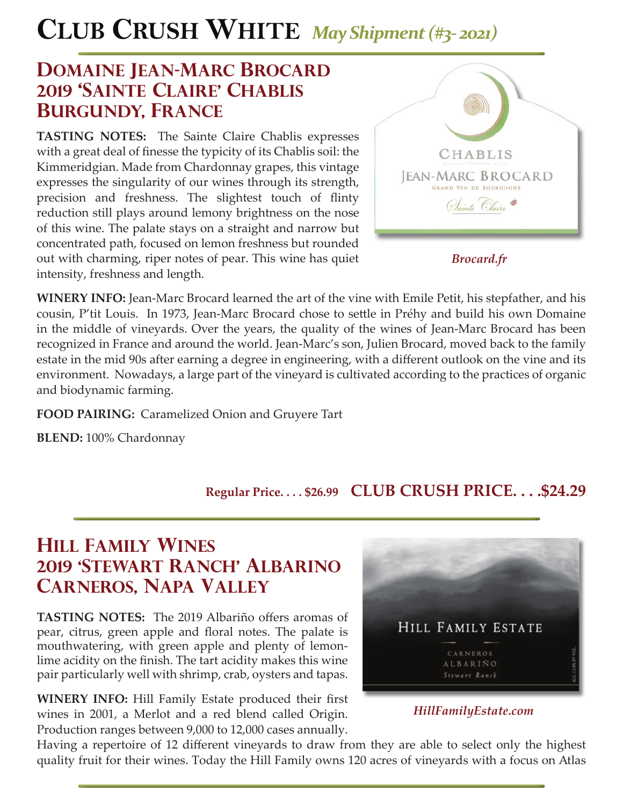# **CLUB CRUSH WHITE** *May Shipment (#3- 2021)*

## **DOMAINE JEAN-MARC BROCARD 2019 'sainte claire' chablis burgundy, france**

**TASTING NOTES:** The Sainte Claire Chablis expresses with a great deal of finesse the typicity of its Chablis soil: the Kimmeridgian. Made from Chardonnay grapes, this vintage expresses the singularity of our wines through its strength, precision and freshness. The slightest touch of flinty reduction still plays around lemony brightness on the nose of this wine. The palate stays on a straight and narrow but concentrated path, focused on lemon freshness but rounded out with charming, riper notes of pear. This wine has quiet intensity, freshness and length.



*Brocard.fr*

**WINERY INFO:** Jean-Marc Brocard learned the art of the vine with Emile Petit, his stepfather, and his cousin, P'tit Louis. In 1973, Jean-Marc Brocard chose to settle in Préhy and build his own Domaine in the middle of vineyards. Over the years, the quality of the wines of Jean-Marc Brocard has been recognized in France and around the world. Jean-Marc's son, Julien Brocard, moved back to the family estate in the mid 90s after earning a degree in engineering, with a different outlook on the vine and its environment. Nowadays, a large part of the vineyard is cultivated according to the practices of organic and biodynamic farming.

**FOOD PAIRING:** Caramelized Onion and Gruyere Tart

**BLEND:** 100% Chardonnay

### **Regular Price. . . . \$26.99 CLUB CRUSH PRICE. . . .\$24.29**

## **hill family wines 2019 'stewart ranch' albarino carneros, napa valley**

**TASTING NOTES:** The 2019 Albariño offers aromas of pear, citrus, green apple and floral notes. The palate is mouthwatering, with green apple and plenty of lemonlime acidity on the finish. The tart acidity makes this wine pair particularly well with shrimp, crab, oysters and tapas.

**WINERY INFO:** Hill Family Estate produced their first wines in 2001, a Merlot and a red blend called Origin. Production ranges between 9,000 to 12,000 cases annually.



#### *HillFamilyEstate.com*

Having a repertoire of 12 different vineyards to draw from they are able to select only the highest quality fruit for their wines. Today the Hill Family owns 120 acres of vineyards with a focus on Atlas